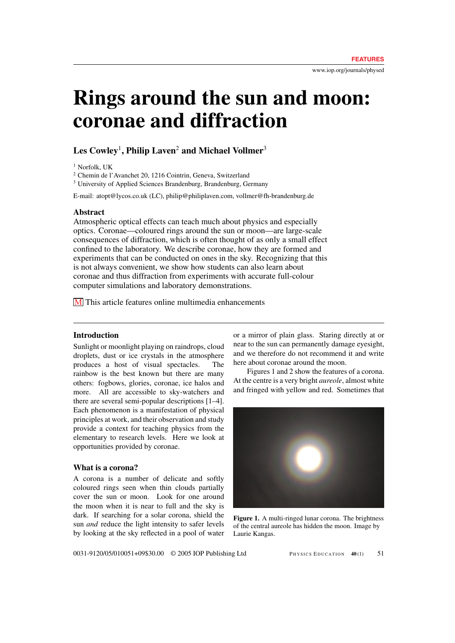# **Rings around the sun and moon: coronae and diffraction**

# **Les Cowley**<sup>1</sup>**, Philip Laven**<sup>2</sup> **and Michael Vollmer**<sup>3</sup>

<sup>1</sup> Norfolk, UK

<sup>2</sup> Chemin de l'Avanchet 20, 1216 Cointrin, Geneva, Switzerland

<sup>3</sup> University of Applied Sciences Brandenburg, Brandenburg, Germany

E-mail: atopt@lycos.co.uk (LC), philip@philiplaven.com, vollmer@fh-brandenburg.de

# **Abstract**

Atmospheric optical effects can teach much about physics and especially optics. Coronae—coloured rings around the sun or moon—are large-scale consequences of diffraction, which is often thought of as only a small effect confined to the laboratory. We describe coronae, how they are formed and experiments that can be conducted on ones in the sky. Recognizing that this is not always convenient, we show how students can also learn about coronae and thus diffraction from experiments with accurate full-colour computer simulations and laboratory demonstrations.

M This article features online multimedia enhancements

# **Introduction**

Sunlight or moonlight playing on raindrops, cloud droplets, dust or ice crystals in the atmosphere produces a host of visual spectacles. The rainbow is the best known but there are many others: fogbows, glories, coronae, ice halos and more. All are accessible to sky-watchers and there are several semi-popular descriptions [1–4]. Each phenomenon is a manifestation of physical principles at work, and their observation and study provide a context for teaching physics from the elementary to research levels. Here we look at opportunities provided by coronae.

#### **What is a corona?**

A corona is a number of delicate and softly coloured rings seen when thin clouds partially cover the sun or moon. Look for one around the moon when it is near to full and the sky is dark. If searching for a solar corona, shield the sun *and* reduce the light intensity to safer levels by looking at the sky reflected in a pool of water

or a mirror of plain glass. Staring directly at or near to the sun can permanently damage eyesight, and we therefore do not recommend it and write here about coronae around the moon.

Figures 1 and 2 show the features of a corona. At the centre is a very bright *aureole*, almost white and fringed with yellow and red. Sometimes that



**Figure 1.** A multi-ringed lunar corona. The brightness of the central aureole has hidden the moon. Image by Laurie Kangas.

0031-9120/05/010051+09\$30.00 © 2005 IOP Publishing Ltd PHYSICS EDUCATION **40** (1) 51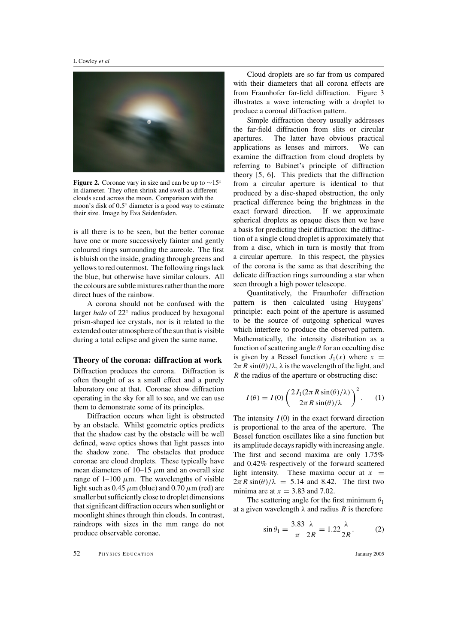

**Figure 2.** Coronae vary in size and can be up to ∼15◦ in diameter. They often shrink and swell as different clouds scud across the moon. Comparison with the moon's disk of 0*.*5◦ diameter is a good way to estimate their size. Image by Eva Seidenfaden.

is all there is to be seen, but the better coronae have one or more successively fainter and gently coloured rings surrounding the aureole. The first is bluish on the inside, grading through greens and yellows to red outermost. The following rings lack the blue, but otherwise have similar colours. All the colours are subtle mixtures rather than the more direct hues of the rainbow.

A corona should not be confused with the larger *halo* of 22◦ radius produced by hexagonal prism-shaped ice crystals, nor is it related to the extended outer atmosphere of the sun that is visible during a total eclipse and given the same name.

#### **Theory of the corona: diffraction at work**

Diffraction produces the corona. Diffraction is often thought of as a small effect and a purely laboratory one at that. Coronae show diffraction operating in the sky for all to see, and we can use them to demonstrate some of its principles.

Diffraction occurs when light is obstructed by an obstacle. Whilst geometric optics predicts that the shadow cast by the obstacle will be well defined, wave optics shows that light passes into the shadow zone. The obstacles that produce coronae are cloud droplets. These typically have mean diameters of  $10-15 \mu m$  and an overall size range of  $1-100 \mu m$ . The wavelengths of visible light such as  $0.45 \mu m$  (blue) and  $0.70 \mu m$  (red) are smaller but sufficiently close to droplet dimensions that significant diffraction occurs when sunlight or moonlight shines through thin clouds. In contrast, raindrops with sizes in the mm range do not produce observable coronae.

Cloud droplets are so far from us compared with their diameters that all corona effects are from Fraunhofer far-field diffraction. Figure 3 illustrates a wave interacting with a droplet to produce a coronal diffraction pattern.

Simple diffraction theory usually addresses the far-field diffraction from slits or circular apertures. The latter have obvious practical applications as lenses and mirrors. We can examine the diffraction from cloud droplets by referring to Babinet's principle of diffraction theory [5, 6]. This predicts that the diffraction from a circular aperture is identical to that produced by a disc-shaped obstruction, the only practical difference being the brightness in the exact forward direction. If we approximate spherical droplets as opaque discs then we have a basis for predicting their diffraction: the diffraction of a single cloud droplet is approximately that from a disc, which in turn is mostly that from a circular aperture. In this respect, the physics of the corona is the same as that describing the delicate diffraction rings surrounding a star when seen through a high power telescope.

Quantitatively, the Fraunhofer diffraction pattern is then calculated using Huygens' principle: each point of the aperture is assumed to be the source of outgoing spherical waves which interfere to produce the observed pattern. Mathematically, the intensity distribution as a function of scattering angle  $\theta$  for an occulting disc is given by a Bessel function  $J_1(x)$  where  $x =$  $2\pi R \sin(\theta)/\lambda$ ,  $\lambda$  is the wavelength of the light, and *R* the radius of the aperture or obstructing disc:

$$
I(\theta) = I(0) \left( \frac{2J_1(2\pi R \sin(\theta)/\lambda)}{2\pi R \sin(\theta)/\lambda} \right)^2.
$$
 (1)

The intensity  $I(0)$  in the exact forward direction is proportional to the area of the aperture. The Bessel function oscillates like a sine function but its amplitude decays rapidly with increasing angle. The first and second maxima are only 1.75% and 0.42% respectively of the forward scattered light intensity. These maxima occur at  $x =$  $2\pi R \sin(\theta)/\lambda = 5.14$  and 8.42. The first two minima are at  $x = 3.83$  and 7.02.

The scattering angle for the first minimum  $\theta_1$ at a given wavelength  $\lambda$  and radius *R* is therefore

$$
\sin \theta_1 = \frac{3.83}{\pi} \frac{\lambda}{2R} = 1.22 \frac{\lambda}{2R}.
$$
 (2)

52 PHYSICS EDUCATION **For a struck of the CONSTANT CONSTANT** January 2005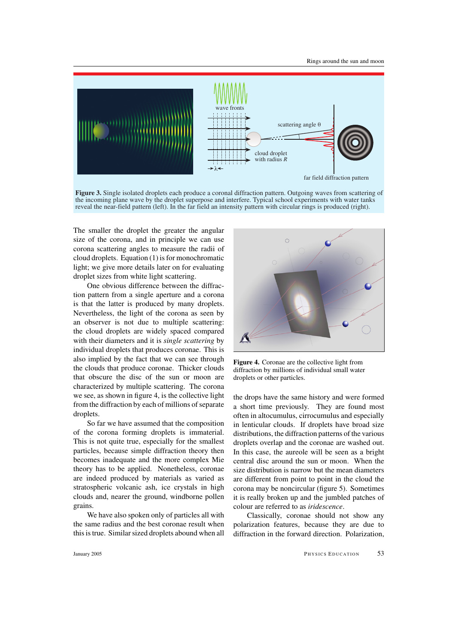

**Figure 3.** Single isolated droplets each produce a coronal diffraction pattern. Outgoing waves from scattering of the incoming plane wave by the droplet superpose and interfere. Typical school experiments with water tanks reveal the near-field pattern (left). In the far field an intensity pattern with circular rings is produced (right).

The smaller the droplet the greater the angular size of the corona, and in principle we can use corona scattering angles to measure the radii of cloud droplets. Equation (1) is for monochromatic light; we give more details later on for evaluating droplet sizes from white light scattering.

One obvious difference between the diffraction pattern from a single aperture and a corona is that the latter is produced by many droplets. Nevertheless, the light of the corona as seen by an observer is not due to multiple scattering: the cloud droplets are widely spaced compared with their diameters and it is *single scattering* by individual droplets that produces coronae. This is also implied by the fact that we can see through the clouds that produce coronae. Thicker clouds that obscure the disc of the sun or moon are characterized by multiple scattering. The corona we see, as shown in figure 4, is the collective light from the diffraction by each of millions of separate droplets.

So far we have assumed that the composition of the corona forming droplets is immaterial. This is not quite true, especially for the smallest particles, because simple diffraction theory then becomes inadequate and the more complex Mie theory has to be applied. Nonetheless, coronae are indeed produced by materials as varied as stratospheric volcanic ash, ice crystals in high clouds and, nearer the ground, windborne pollen grains.

We have also spoken only of particles all with the same radius and the best coronae result when this is true. Similar sized droplets abound when all



**Figure 4.** Coronae are the collective light from diffraction by millions of individual small water droplets or other particles.

the drops have the same history and were formed a short time previously. They are found most often in altocumulus, cirrocumulus and especially in lenticular clouds. If droplets have broad size distributions, the diffraction patterns of the various droplets overlap and the coronae are washed out. In this case, the aureole will be seen as a bright central disc around the sun or moon. When the size distribution is narrow but the mean diameters are different from point to point in the cloud the corona may be noncircular (figure 5). Sometimes it is really broken up and the jumbled patches of colour are referred to as *iridescence*.

Classically, coronae should not show any polarization features, because they are due to diffraction in the forward direction. Polarization,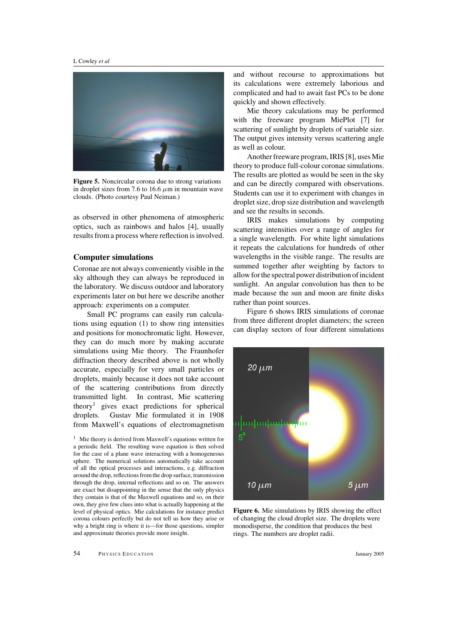

**Figure 5.** Noncircular corona due to strong variations in droplet sizes from 7.6 to 16.6 *µ*m in mountain wave clouds. (Photo courtesy Paul Neiman.)

as observed in other phenomena of atmospheric optics, such as rainbows and halos [4], usually results from a process where reflection is involved.

#### **Computer simulations**

Coronae are not always conveniently visible in the sky although they can always be reproduced in the laboratory. We discuss outdoor and laboratory experiments later on but here we describe another approach: experiments on a computer.

Small PC programs can easily run calculations using equation (1) to show ring intensities and positions for monochromatic light. However, they can do much more by making accurate simulations using Mie theory. The Fraunhofer diffraction theory described above is not wholly accurate, especially for very small particles or droplets, mainly because it does not take account of the scattering contributions from directly transmitted light. In contrast, Mie scattering theory<sup>1</sup> gives exact predictions for spherical droplets. Gustav Mie formulated it in 1908 from Maxwell's equations of electromagnetism

<sup>1</sup> Mie theory is derived from Maxwell's equations written for a periodic field. The resulting wave equation is then solved for the case of a plane wave interacting with a homogeneous sphere. The numerical solutions automatically take account of all the optical processes and interactions, e.g. diffraction around the drop, reflections from the drop surface, transmission through the drop, internal reflections and so on. The answers are exact but disappointing in the sense that the only physics they contain is that of the Maxwell equations and so, on their own, they give few clues into what is actually happening at the level of physical optics. Mie calculations for instance predict corona colours perfectly but do not tell us how they arise or why a bright ring is where it is—for those questions, simpler and approximate theories provide more insight.

and without recourse to approximations but its calculations were extremely laborious and complicated and had to await fast PCs to be done quickly and shown effectively.

Mie theory calculations may be performed with the freeware program MiePlot [7] for scattering of sunlight by droplets of variable size. The output gives intensity versus scattering angle as well as colour.

Another freeware program, IRIS [8], uses Mie theory to produce full-colour coronae simulations. The results are plotted as would be seen in the sky and can be directly compared with observations. Students can use it to experiment with changes in droplet size, drop size distribution and wavelength and see the results in seconds.

IRIS makes simulations by computing scattering intensities over a range of angles for a single wavelength. For white light simulations it repeats the calculations for hundreds of other wavelengths in the visible range. The results are summed together after weighting by factors to allow for the spectral power distribution of incident sunlight. An angular convolution has then to be made because the sun and moon are finite disks rather than point sources.

Figure 6 shows IRIS simulations of coronae from three different droplet diameters; the screen can display sectors of four different simulations



**Figure 6.** Mie simulations by IRIS showing the effect of changing the cloud droplet size. The droplets were monodisperse, the condition that produces the best rings. The numbers are droplet radii.

54 PHYSICS EDUCATION **For a struck of the CONSTANT CONSTANT** January 2005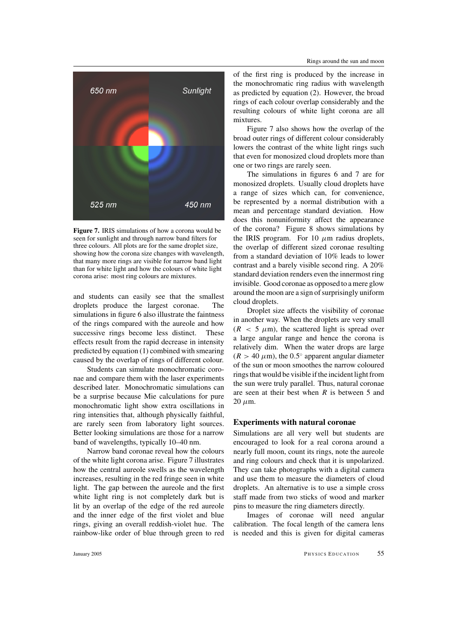

**Figure 7.** IRIS simulations of how a corona would be seen for sunlight and through narrow band filters for three colours. All plots are for the same droplet size, showing how the corona size changes with wavelength, that many more rings are visible for narrow band light than for white light and how the colours of white light corona arise: most ring colours are mixtures.

and students can easily see that the smallest droplets produce the largest coronae. The simulations in figure 6 also illustrate the faintness of the rings compared with the aureole and how successive rings become less distinct. These effects result from the rapid decrease in intensity predicted by equation (1) combined with smearing caused by the overlap of rings of different colour.

Students can simulate monochromatic coronae and compare them with the laser experiments described later. Monochromatic simulations can be a surprise because Mie calculations for pure monochromatic light show extra oscillations in ring intensities that, although physically faithful, are rarely seen from laboratory light sources. Better looking simulations are those for a narrow band of wavelengths, typically 10–40 nm.

Narrow band coronae reveal how the colours of the white light corona arise. Figure 7 illustrates how the central aureole swells as the wavelength increases, resulting in the red fringe seen in white light. The gap between the aureole and the first white light ring is not completely dark but is lit by an overlap of the edge of the red aureole and the inner edge of the first violet and blue rings, giving an overall reddish-violet hue. The rainbow-like order of blue through green to red

of the first ring is produced by the increase in the monochromatic ring radius with wavelength as predicted by equation (2). However, the broad rings of each colour overlap considerably and the resulting colours of white light corona are all mixtures.

Figure 7 also shows how the overlap of the broad outer rings of different colour considerably lowers the contrast of the white light rings such that even for monosized cloud droplets more than one or two rings are rarely seen.

The simulations in figures 6 and 7 are for monosized droplets. Usually cloud droplets have a range of sizes which can, for convenience, be represented by a normal distribution with a mean and percentage standard deviation. How does this nonuniformity affect the appearance of the corona? Figure 8 shows simulations by the IRIS program. For 10  $\mu$ m radius droplets, the overlap of different sized coronae resulting from a standard deviation of 10% leads to lower contrast and a barely visible second ring. A 20% standard deviation renders even the innermost ring invisible. Good coronae as opposed to a mere glow around the moon are a sign of surprisingly uniform cloud droplets.

Droplet size affects the visibility of coronae in another way. When the droplets are very small  $(R < 5 \mu m)$ , the scattered light is spread over a large angular range and hence the corona is relatively dim. When the water drops are large  $(R > 40 \ \mu m)$ , the 0.5° apparent angular diameter of the sun or moon smoothes the narrow coloured rings that would be visible if the incident light from the sun were truly parallel. Thus, natural coronae are seen at their best when *R* is between 5 and  $20 \mu m$ .

#### **Experiments with natural coronae**

Simulations are all very well but students are encouraged to look for a real corona around a nearly full moon, count its rings, note the aureole and ring colours and check that it is unpolarized. They can take photographs with a digital camera and use them to measure the diameters of cloud droplets. An alternative is to use a simple cross staff made from two sticks of wood and marker pins to measure the ring diameters directly.

Images of coronae will need angular calibration. The focal length of the camera lens is needed and this is given for digital cameras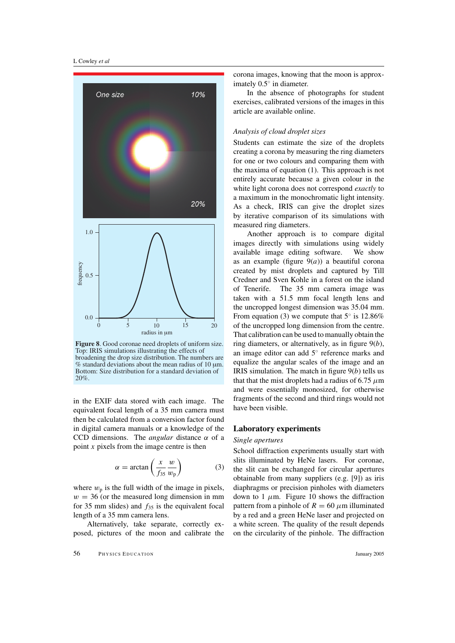

**Figure 8**. Good coronae need droplets of uniform size. Top: IRIS simulations illustrating the effects of broadening the drop size distribution. The numbers are  $%$  standard deviations about the mean radius of 10  $\mu$ m. Bottom: Size distribution for a standard deviation of 20%.

in the EXIF data stored with each image. The equivalent focal length of a 35 mm camera must then be calculated from a conversion factor found in digital camera manuals or a knowledge of the CCD dimensions. The *angular* distance *α* of a point *x* pixels from the image centre is then

$$
\alpha = \arctan\left(\frac{x}{f_{35}}\frac{w}{w_{\rm p}}\right) \tag{3}
$$

where  $w_p$  is the full width of the image in pixels,  $w = 36$  (or the measured long dimension in mm for 35 mm slides) and *f*<sup>35</sup> is the equivalent focal length of a 35 mm camera lens.

Alternatively, take separate, correctly exposed, pictures of the moon and calibrate the

56 PHYSICS EDUCATION **For a state of the CONSTANT CONSTRUCTION** January 2005

corona images, knowing that the moon is approximately 0.5◦ in diameter.

In the absence of photographs for student exercises, calibrated versions of the images in this article are available online.

#### *Analysis of cloud droplet sizes*

Students can estimate the size of the droplets creating a corona by measuring the ring diameters for one or two colours and comparing them with the maxima of equation (1). This approach is not entirely accurate because a given colour in the white light corona does not correspond *exactly* to a maximum in the monochromatic light intensity. As a check, IRIS can give the droplet sizes by iterative comparison of its simulations with measured ring diameters.

Another approach is to compare digital images directly with simulations using widely available image editing software. We show as an example (figure  $9(a)$ ) a beautiful corona created by mist droplets and captured by Till Credner and Sven Kohle in a forest on the island of Tenerife. The 35 mm camera image was taken with a 51.5 mm focal length lens and the uncropped longest dimension was 35.04 mm. From equation (3) we compute that  $5^\circ$  is 12.86% of the uncropped long dimension from the centre. That calibration can be used to manually obtain the ring diameters, or alternatively, as in figure 9(*b*), an image editor can add 5◦ reference marks and equalize the angular scales of the image and an IRIS simulation. The match in figure 9(*b*) tells us that that the mist droplets had a radius of 6.75  $\mu$ m and were essentially monosized, for otherwise fragments of the second and third rings would not have been visible.

# **Laboratory experiments**

# *Single apertures*

School diffraction experiments usually start with slits illuminated by HeNe lasers. For coronae, the slit can be exchanged for circular apertures obtainable from many suppliers (e.g. [9]) as iris diaphragms or precision pinholes with diameters down to 1  $\mu$ m. Figure 10 shows the diffraction pattern from a pinhole of  $R = 60 \mu$ m illuminated by a red and a green HeNe laser and projected on a white screen. The quality of the result depends on the circularity of the pinhole. The diffraction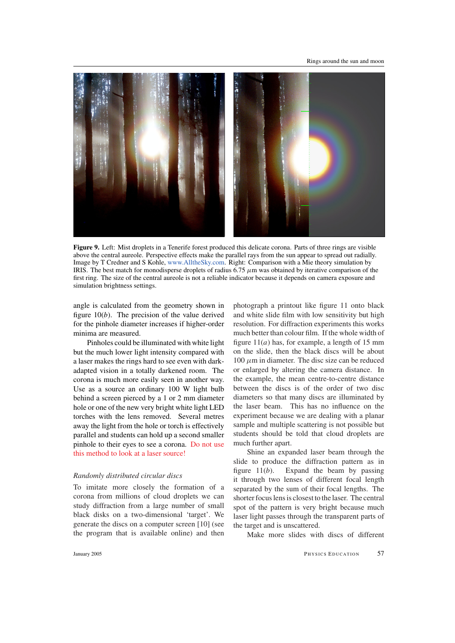

**Figure 9.** Left: Mist droplets in a Tenerife forest produced this delicate corona. Parts of three rings are visible above the central aureole. Perspective effects make the parallel rays from the sun appear to spread out radially. Image by T Credner and S Kohle, [www.AlltheSky.com.](http://www.AlltheSky.com) Right: Comparison with a Mie theory simulation by IRIS. The best match for monodisperse droplets of radius 6.75 *µ*m was obtained by iterative comparison of the first ring. The size of the central aureole is not a reliable indicator because it depends on camera exposure and simulation brightness settings.

angle is calculated from the geometry shown in figure 10(*b*). The precision of the value derived for the pinhole diameter increases if higher-order minima are measured.

Pinholes could be illuminated with white light but the much lower light intensity compared with a laser makes the rings hard to see even with darkadapted vision in a totally darkened room. The corona is much more easily seen in another way. Use as a source an ordinary 100 W light bulb behind a screen pierced by a 1 or 2 mm diameter hole or one of the new very bright white light LED torches with the lens removed. Several metres away the light from the hole or torch is effectively parallel and students can hold up a second smaller pinhole to their eyes to see a corona. Do not use this method to look at a laser source!

#### *Randomly distributed circular discs*

To imitate more closely the formation of a corona from millions of cloud droplets we can study diffraction from a large number of small black disks on a two-dimensional 'target'. We generate the discs on a computer screen [10] (see the program that is available online) and then

photograph a printout like figure 11 onto black and white slide film with low sensitivity but high resolution. For diffraction experiments this works much better than colour film. If the whole width of figure  $11(a)$  has, for example, a length of 15 mm on the slide, then the black discs will be about  $100 \mu m$  in diameter. The disc size can be reduced or enlarged by altering the camera distance. In the example, the mean centre-to-centre distance between the discs is of the order of two disc diameters so that many discs are illuminated by the laser beam. This has no influence on the experiment because we are dealing with a planar sample and multiple scattering is not possible but students should be told that cloud droplets are much further apart.

Shine an expanded laser beam through the slide to produce the diffraction pattern as in figure 11(*b*). Expand the beam by passing it through two lenses of different focal length separated by the sum of their focal lengths. The shorter focus lens is closest to the laser. The central spot of the pattern is very bright because much laser light passes through the transparent parts of the target and is unscattered.

Make more slides with discs of different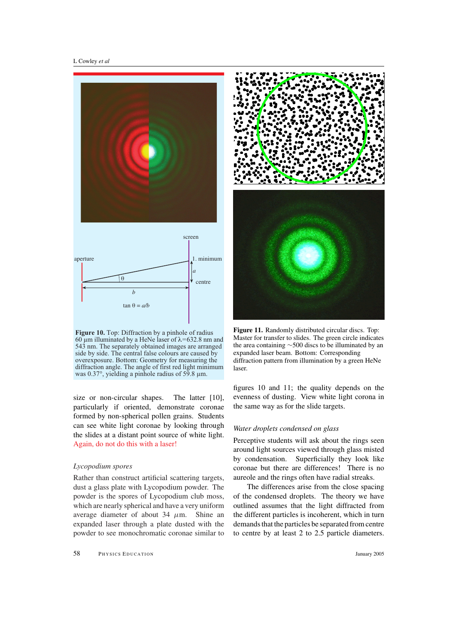

**Figure 10.** Top: Diffraction by a pinhole of radius 60 µm illuminated by a HeNe laser of  $\lambda$ =632.8 nm and 543 nm. The separately obtained images are arranged side by side. The central false colours are caused by overexposure. Bottom: Geometry for measuring the diffraction angle. The angle of first red light minimum was 0.37°, yielding a pinhole radius of 59.8 µm.

size or non-circular shapes. The latter [10], particularly if oriented, demonstrate coronae formed by non-spherical pollen grains. Students can see white light coronae by looking through the slides at a distant point source of white light. Again, do not do this with a laser!

#### *Lycopodium spores*

Rather than construct artificial scattering targets, dust a glass plate with Lycopodium powder. The powder is the spores of Lycopodium club moss, which are nearly spherical and have a very uniform average diameter of about  $34 \mu m$ . Shine an expanded laser through a plate dusted with the powder to see monochromatic coronae similar to



**Figure 11.** Randomly distributed circular discs. Top: Master for transfer to slides. The green circle indicates the area containing ∼500 discs to be illuminated by an expanded laser beam. Bottom: Corresponding diffraction pattern from illumination by a green HeNe laser.

figures 10 and 11; the quality depends on the evenness of dusting. View white light corona in the same way as for the slide targets.

#### *Water droplets condensed on glass*

Perceptive students will ask about the rings seen around light sources viewed through glass misted by condensation. Superficially they look like coronae but there are differences! There is no aureole and the rings often have radial streaks.

The differences arise from the close spacing of the condensed droplets. The theory we have outlined assumes that the light diffracted from the different particles is incoherent, which in turn demands that the particles be separated from centre to centre by at least 2 to 2.5 particle diameters.